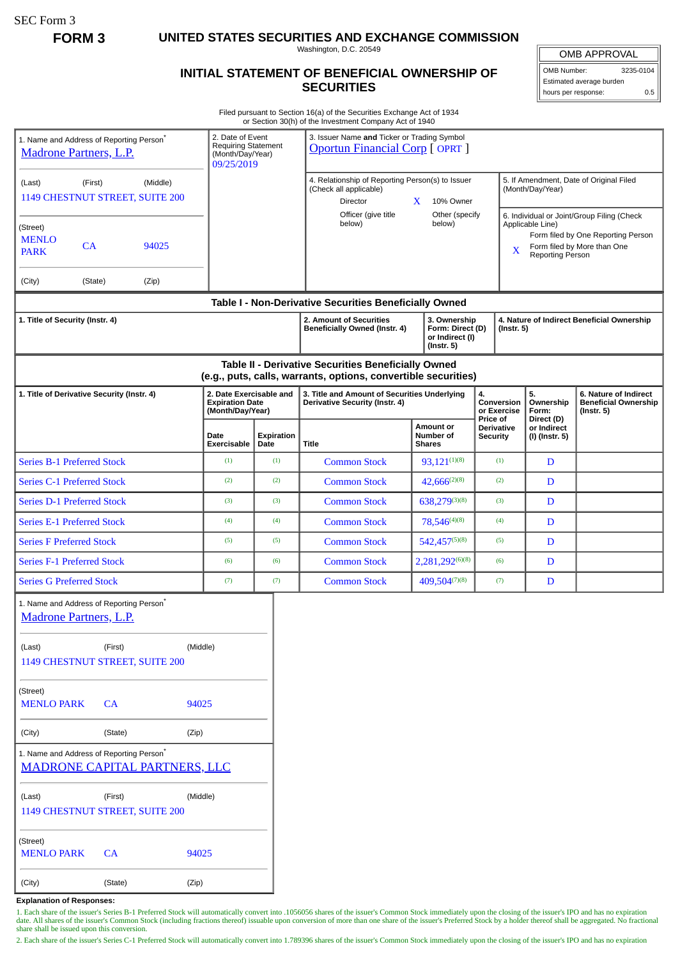SEC Form 3

**FORM 3 UNITED STATES SECURITIES AND EXCHANGE COMMISSION**

Washington, D.C. 20549

## **INITIAL STATEMENT OF BENEFICIAL OWNERSHIP OF SECURITIES**

OMB APPROVAL OMB Number: 3235-0104

Estimated average burden hours per response: 0.5

Filed pursuant to Section 16(a) of the Securities Exchange Act of 1934 or Section 30(h) of the Investment Company Act of 1940

|                                                                                       |                                                                                  |                                                                                  |                    | or Section 30(11) or the investment Company Act or 1940                                                                             |                                                 |                                             |                                                                                                                                                              |                                                                          |
|---------------------------------------------------------------------------------------|----------------------------------------------------------------------------------|----------------------------------------------------------------------------------|--------------------|-------------------------------------------------------------------------------------------------------------------------------------|-------------------------------------------------|---------------------------------------------|--------------------------------------------------------------------------------------------------------------------------------------------------------------|--------------------------------------------------------------------------|
| 1. Name and Address of Reporting Person <sup>*</sup><br><b>Madrone Partners, L.P.</b> |                                                                                  | 2. Date of Event<br><b>Requiring Statement</b><br>(Month/Day/Year)<br>09/25/2019 |                    | 3. Issuer Name and Ticker or Trading Symbol<br><b>Oportun Financial Corp [OPRT]</b>                                                 |                                                 |                                             |                                                                                                                                                              |                                                                          |
| (Last)<br>(First)<br>(Middle)<br>1149 CHESTNUT STREET, SUITE 200                      |                                                                                  |                                                                                  |                    | 4. Relationship of Reporting Person(s) to Issuer<br>(Check all applicable)<br>Director                                              | 10% Owner<br>$\mathbf{X}$                       |                                             | 5. If Amendment, Date of Original Filed<br>(Month/Day/Year)                                                                                                  |                                                                          |
| (Street)<br><b>MENLO</b><br>CA<br><b>PARK</b>                                         | 94025                                                                            |                                                                                  |                    | below)                                                                                                                              | Officer (give title<br>Other (specify<br>below) |                                             | 6. Individual or Joint/Group Filing (Check<br>Applicable Line)<br>Form filed by One Reporting Person<br>Form filed by More than One<br>X<br>Reporting Person |                                                                          |
| (City)                                                                                | (State)<br>(Zip)                                                                 |                                                                                  |                    |                                                                                                                                     |                                                 |                                             |                                                                                                                                                              |                                                                          |
|                                                                                       |                                                                                  |                                                                                  |                    | Table I - Non-Derivative Securities Beneficially Owned                                                                              |                                                 |                                             |                                                                                                                                                              |                                                                          |
| 1. Title of Security (Instr. 4)                                                       |                                                                                  |                                                                                  |                    | 2. Amount of Securities<br>3. Ownership<br>Beneficially Owned (Instr. 4)<br>Form: Direct (D)<br>or Indirect (I)<br>$($ Instr. 5 $)$ |                                                 |                                             | 4. Nature of Indirect Beneficial Ownership<br>$($ lnstr. 5 $)$                                                                                               |                                                                          |
|                                                                                       |                                                                                  |                                                                                  |                    | Table II - Derivative Securities Beneficially Owned<br>(e.g., puts, calls, warrants, options, convertible securities)               |                                                 |                                             |                                                                                                                                                              |                                                                          |
| 1. Title of Derivative Security (Instr. 4)                                            |                                                                                  | 2. Date Exercisable and<br><b>Expiration Date</b><br>(Month/Day/Year)            |                    | 3. Title and Amount of Securities Underlying<br><b>Derivative Security (Instr. 4)</b>                                               |                                                 | 4.<br>Conversion<br>or Exercise<br>Price of | 5.<br>Ownership<br>Form:                                                                                                                                     | 6. Nature of Indirect<br><b>Beneficial Ownership</b><br>$($ Instr. 5 $)$ |
|                                                                                       |                                                                                  | Date<br>Exercisable                                                              | Expiration<br>Date | <b>Title</b>                                                                                                                        | Amount or<br>Number of<br><b>Shares</b>         | <b>Derivative</b><br>Security               | Direct (D)<br>or Indirect<br>(I) (Instr. 5)                                                                                                                  |                                                                          |
| <b>Series B-1 Preferred Stock</b>                                                     |                                                                                  | (1)                                                                              | (1)                | <b>Common Stock</b>                                                                                                                 | $93,121^{(1)(8)}$                               | (1)                                         | D                                                                                                                                                            |                                                                          |
| <b>Series C-1 Preferred Stock</b>                                                     |                                                                                  | (2)                                                                              | (2)                | <b>Common Stock</b>                                                                                                                 | $42,666^{(2)(8)}$                               | (2)                                         | D                                                                                                                                                            |                                                                          |
| <b>Series D-1 Preferred Stock</b>                                                     |                                                                                  | (3)                                                                              | (3)                | <b>Common Stock</b>                                                                                                                 | 638,279(3)(8)                                   | (3)                                         | D                                                                                                                                                            |                                                                          |
| <b>Series E-1 Preferred Stock</b>                                                     |                                                                                  | (4)                                                                              | (4)                | <b>Common Stock</b>                                                                                                                 | 78,546(4)(8)                                    | (4)                                         | D                                                                                                                                                            |                                                                          |
| <b>Series F Preferred Stock</b>                                                       |                                                                                  | (5)                                                                              | (5)                | <b>Common Stock</b>                                                                                                                 | 542,457(5)(8)                                   | (5)                                         | D                                                                                                                                                            |                                                                          |
| <b>Series F-1 Preferred Stock</b>                                                     |                                                                                  | (6)                                                                              | (6)                | <b>Common Stock</b>                                                                                                                 | 2,281,292(6)(8)                                 | (6)                                         | D                                                                                                                                                            |                                                                          |
| <b>Series G Preferred Stock</b>                                                       |                                                                                  | (7)                                                                              | (7)                | <b>Common Stock</b>                                                                                                                 | 409,504(7)(8)                                   | (7)                                         | D                                                                                                                                                            |                                                                          |
| <b>Madrone Partners, L.P.</b>                                                         | 1. Name and Address of Reporting Person <sup>*</sup>                             |                                                                                  |                    |                                                                                                                                     |                                                 |                                             |                                                                                                                                                              |                                                                          |
| (First)<br>(Middle)<br>(Last)<br>1149 CHESTNUT STREET, SUITE 200                      |                                                                                  |                                                                                  |                    |                                                                                                                                     |                                                 |                                             |                                                                                                                                                              |                                                                          |
| (Street)<br><b>MENLO PARK</b><br>CA<br>94025                                          |                                                                                  |                                                                                  |                    |                                                                                                                                     |                                                 |                                             |                                                                                                                                                              |                                                                          |
| (City)<br>(State)<br>(Zip)                                                            |                                                                                  |                                                                                  |                    |                                                                                                                                     |                                                 |                                             |                                                                                                                                                              |                                                                          |
|                                                                                       | 1. Name and Address of Reporting Person*<br><b>MADRONE CAPITAL PARTNERS, LLC</b> |                                                                                  |                    |                                                                                                                                     |                                                 |                                             |                                                                                                                                                              |                                                                          |
| (Last)                                                                                | (First)<br>1149 CHESTNUT STREET, SUITE 200                                       | (Middle)                                                                         |                    |                                                                                                                                     |                                                 |                                             |                                                                                                                                                              |                                                                          |
| (Street)<br><b>MENLO PARK</b><br><b>CA</b><br>94025                                   |                                                                                  |                                                                                  |                    |                                                                                                                                     |                                                 |                                             |                                                                                                                                                              |                                                                          |
| (City)                                                                                | (State)                                                                          | (Zip)                                                                            |                    |                                                                                                                                     |                                                 |                                             |                                                                                                                                                              |                                                                          |

**Explanation of Responses:**

1. Each share of the issuer's Series B-1 Preferred Stock will automatically convert into .1056056 shares of the issuer's Common Stock immediately upon the closing of the issuer's IPO and has no expiration<br>date. All shares share shall be issued upon this conversion.

2. Each share of the issuer's Series C-1 Preferred Stock will automatically convert into 1.789396 shares of the issuer's Common Stock immediately upon the closing of the issuer's IPO and has no expiration